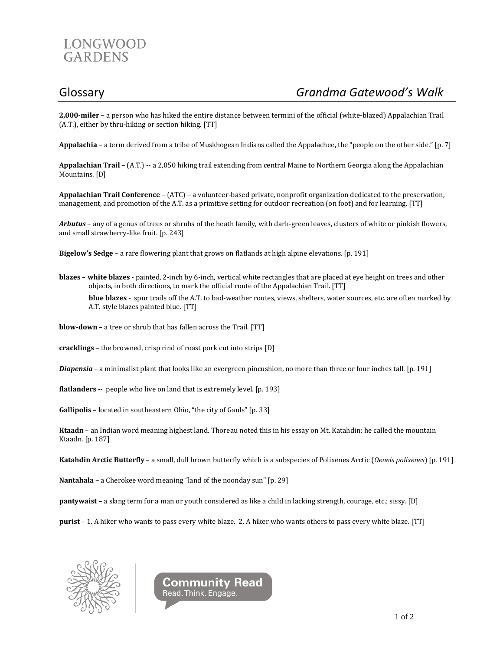

**2,000-miler** – a person who has hiked the entire distance between termini of the official (white-blazed) Appalachian Trail (A.T.), either by thru-hiking or section hiking. [TT]

**Appalachia** – a term derived from a tribe of Muskhogean Indians called the Appalachee, the "people on the other side." [p. 7]

**Appalachian Trail** – (A.T.) -- a 2,050 hiking trail extending from central Maine to Northern Georgia along the Appalachian Mountains. [D]

**Appalachian Trail Conference** – (ATC) – a volunteer-based private, nonprofit organization dedicated to the preservation, management, and promotion of the A.T. as a primitive setting for outdoor recreation (on foot) and for learning. [TT]

*Arbutus* – any of a genus of trees or shrubs of the heath family, with dark-green leaves, clusters of white or pinkish flowers, and small strawberry-like fruit. [p. 243]

**Bigelow's Sedge** – a rare flowering plant that grows on flatlands at high alpine elevations. [p. 191]

**blazes** – **white blazes** - painted, 2-inch by 6-inch, vertical white rectangles that are placed at eye height on trees and other objects, in both directions, to mark the official route of the Appalachian Trail. [TT]

**blue blazes -** spur trails off the A.T. to bad-weather routes, views, shelters, water sources, etc. are often marked by A.T. style blazes painted blue. [TT]

- **blow-down** a tree or shrub that has fallen across the Trail. [TT]
- **cracklings** the browned, crisp rind of roast pork cut into strips [D]
- *Diapensia* a minimalist plant that looks like an evergreen pincushion, no more than three or four inches tall. [p. 191]
- **flatlanders** -- people who live on land that is extremely level. [p. 193]

**Gallipolis** – located in southeastern Ohio, "the city of Gauls" [p. 33]

**Ktaadn** – an Indian word meaning highest land. Thoreau noted this in his essay on Mt. Katahdin: he called the mountain Ktaadn. [p. 187]

**Katahdin Arctic Butterfly** – a small, dull brown butterfly which is a subspecies of Polixenes Arctic (*Oeneis polixenes*) [p. 191]

**Nantahala** – a Cherokee word meaning "land of the noonday sun" [p. 29]

**pantywaist** – a slang term for a man or youth considered as like a child in lacking strength, courage, etc.; sissy. [D]

**purist** – 1. A hiker who wants to pass every white blaze. 2. A hiker who wants others to pass every white blaze. [TT]